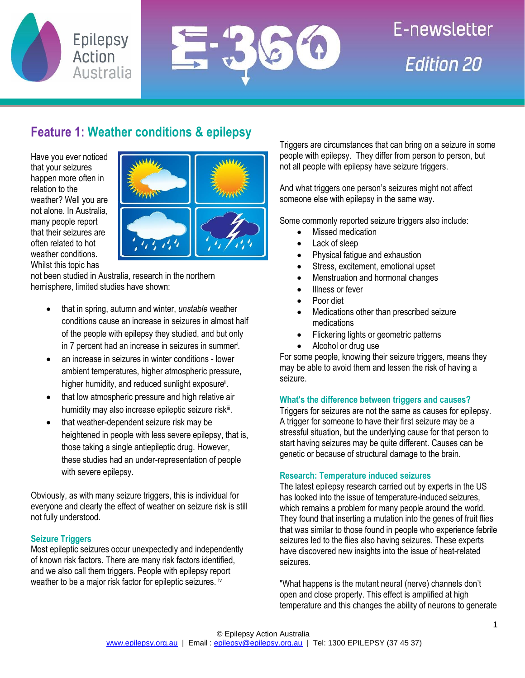



# E-newsletter **Edition 20**

## **Feature 1: Weather conditions & epilepsy**

Have you ever noticed that your seizures happen more often in relation to the weather? Well you are not alone. In Australia, many people report that their seizures are often related to hot weather conditions. Whilst this topic has



not been studied in Australia, research in the northern hemisphere, limited studies have shown:

- that in spring, autumn and winter, *unstable* weather conditions cause an increase in seizures in almost half of the people with epilepsy they studied, and but only in 7 percent had an increase in seizures in summer<sup>i</sup>.
- an increase in seizures in winter conditions lower ambient temperatures, higher atmospheric pressure, higher humidity, and reduced sunlight exposure<sup>ii</sup>.
- that low atmospheric pressure and high relative air humidity may also increase epileptic seizure risk<sup>iii</sup>.
- that weather-dependent seizure risk may be heightened in people with less severe epilepsy, that is, those taking a single antiepileptic drug. However, these studies had an under-representation of people with severe epilepsy.

Obviously, as with many seizure triggers, this is individual for everyone and clearly the effect of weather on seizure risk is still not fully understood.

#### **Seizure Triggers**

Most epileptic seizures occur unexpectedly and independently of known risk factors. There are many risk factors identified, and we also call them triggers. People with epilepsy report weather to be a major risk factor for epileptic seizures. iv

Triggers are circumstances that can bring on a seizure in some people with epilepsy. They differ from person to person, but not all people with epilepsy have seizure triggers.

And what triggers one person's seizures might not affect someone else with epilepsy in the same way.

Some commonly reported seizure triggers also include:

- Missed medication
- Lack of sleep
- Physical fatigue and exhaustion
- Stress, excitement, emotional upset
- Menstruation and hormonal changes
- Illness or fever
- Poor diet
- Medications other than prescribed seizure medications
- Flickering lights or geometric patterns
- Alcohol or drug use

For some people, knowing their seizure triggers, means they may be able to avoid them and lessen the risk of having a seizure.

#### **What's the difference between triggers and causes?**

Triggers for seizures are not the same as causes for epilepsy. A trigger for someone to have their first seizure may be a stressful situation, but the underlying cause for that person to start having seizures may be quite different. Causes can be genetic or because of structural damage to the brain.

#### **Research: Temperature induced seizures**

The latest epilepsy research carried out by experts in the US has looked into the issue of temperature-induced seizures, which remains a problem for many people around the world. They found that inserting a mutation into the genes of fruit flies that was similar to those found in people who experience febrile seizures led to the flies also having seizures. These experts have discovered new insights into the issue of heat-related seizures.

"What happens is the mutant neural (nerve) channels don't open and close properly. This effect is amplified at high temperature and this changes the ability of neurons to generate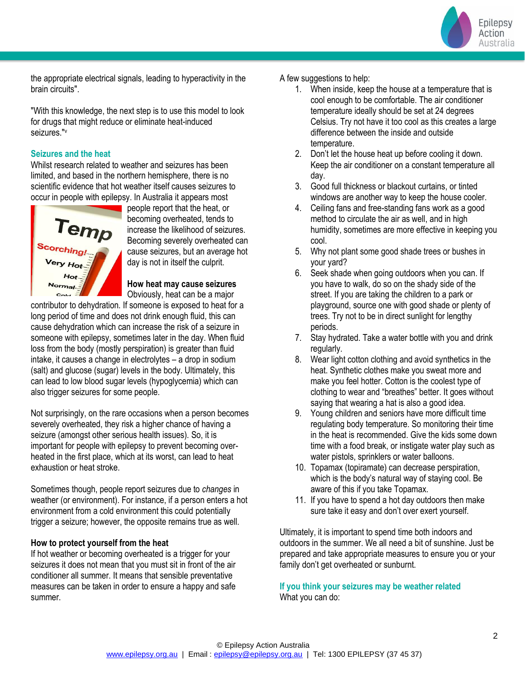Epilepsy Action Australia

the appropriate electrical signals, leading to hyperactivity in the brain circuits".

"With this knowledge, the next step is to use this model to look for drugs that might reduce or eliminate heat-induced seizures."<sup>v</sup>

#### **Seizures and the heat**

Whilst research related to weather and seizures has been limited, and based in the northern hemisphere, there is no scientific evidence that hot weather itself causes seizures to occur in people with epilepsy. In Australia it appears most



people report that the heat, or becoming overheated, tends to increase the likelihood of seizures. Becoming severely overheated can cause seizures, but an average hot day is not in itself the culprit.

#### **How heat may cause seizures**

Obviously, heat can be a major contributor to dehydration. If someone is exposed to heat for a

long period of time and does not drink enough fluid, this can cause dehydration which can increase the risk of a seizure in someone with epilepsy, sometimes later in the day. When fluid loss from the body (mostly perspiration) is greater than fluid intake, it causes a change in electrolytes – a drop in sodium (salt) and glucose (sugar) levels in the body. Ultimately, this can lead to low blood sugar levels (hypoglycemia) which can also trigger seizures for some people.

Not surprisingly, on the rare occasions when a person becomes severely overheated, they risk a higher chance of having a seizure (amongst other serious health issues). So, it is important for people with epilepsy to prevent becoming overheated in the first place, which at its worst, can lead to heat exhaustion or heat stroke.

Sometimes though, people report seizures due to *changes* in weather (or environment). For instance, if a person enters a hot environment from a cold environment this could potentially trigger a seizure; however, the opposite remains true as well.

#### **How to protect yourself from the heat**

If hot weather or becoming overheated is a trigger for your seizures it does not mean that you must sit in front of the air conditioner all summer. It means that sensible preventative measures can be taken in order to ensure a happy and safe summer.

#### A few suggestions to help:

- 1. When inside, keep the house at a temperature that is cool enough to be comfortable. The air conditioner temperature ideally should be set at 24 degrees Celsius. Try not have it too cool as this creates a large difference between the inside and outside temperature.
- 2. Don't let the house heat up before cooling it down. Keep the air conditioner on a constant temperature all day.
- 3. Good full thickness or blackout curtains, or tinted windows are another way to keep the house cooler.
- 4. Ceiling fans and free-standing fans work as a good method to circulate the air as well, and in high humidity, sometimes are more effective in keeping you cool.
- 5. Why not plant some good shade trees or bushes in your yard?
- 6. Seek shade when going outdoors when you can. If you have to walk, do so on the shady side of the street. If you are taking the children to a park or playground, source one with good shade or plenty of trees. Try not to be in direct sunlight for lengthy periods.
- 7. Stay hydrated. Take a water bottle with you and drink regularly.
- 8. Wear light cotton clothing and avoid synthetics in the heat. Synthetic clothes make you sweat more and make you feel hotter. Cotton is the coolest type of clothing to wear and "breathes" better. It goes without saying that wearing a hat is also a good idea.
- 9. Young children and seniors have more difficult time regulating body temperature. So monitoring their time in the heat is recommended. Give the kids some down time with a food break, or instigate water play such as water pistols, sprinklers or water balloons.
- 10. Topamax (topiramate) can decrease perspiration, which is the body's natural way of staying cool. Be aware of this if you take Topamax.
- 11. If you have to spend a hot day outdoors then make sure take it easy and don't over exert yourself.

Ultimately, it is important to spend time both indoors and outdoors in the summer. We all need a bit of sunshine. Just be prepared and take appropriate measures to ensure you or your family don't get overheated or sunburnt.

**If you think your seizures may be weather related** What you can do: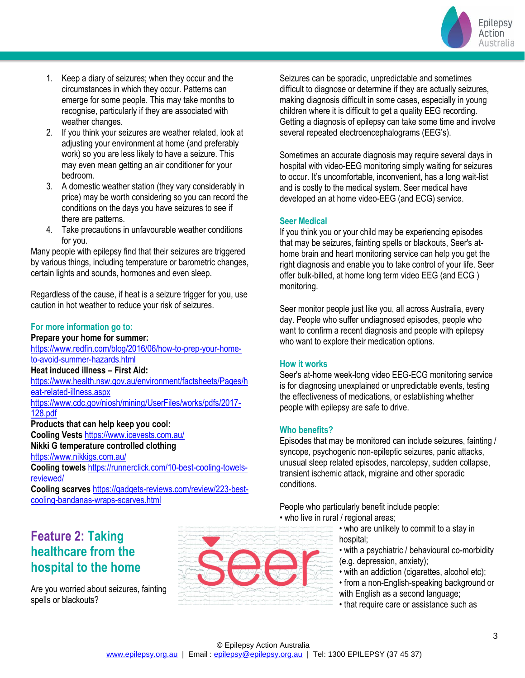

- 1. Keep a diary of seizures; when they occur and the circumstances in which they occur. Patterns can emerge for some people. This may take months to recognise, particularly if they are associated with weather changes.
- 2. If you think your seizures are weather related, look at adjusting your environment at home (and preferably work) so you are less likely to have a seizure. This may even mean getting an air conditioner for your bedroom.
- 3. A domestic weather station (they vary considerably in price) may be worth considering so you can record the conditions on the days you have seizures to see if there are patterns.
- 4. Take precautions in unfavourable weather conditions for you.

Many people with epilepsy find that their seizures are triggered by various things, including temperature or barometric changes, certain lights and sounds, hormones and even sleep.

Regardless of the cause, if heat is a seizure trigger for you, use caution in hot weather to reduce your risk of seizures.

#### **For more information go to:**

#### **Prepare your home for summer:**

[https://www.redfin.com/blog/2016/06/how-to-prep-your-home](https://www.redfin.com/blog/2016/06/how-to-prep-your-home-to-avoid-summer-hazards.html)[to-avoid-summer-hazards.html](https://www.redfin.com/blog/2016/06/how-to-prep-your-home-to-avoid-summer-hazards.html)

#### **Heat induced illness – First Aid:**

[https://www.health.nsw.gov.au/environment/factsheets/Pages/h](https://www.health.nsw.gov.au/environment/factsheets/Pages/heat-related-illness.aspx) [eat-related-illness.aspx](https://www.health.nsw.gov.au/environment/factsheets/Pages/heat-related-illness.aspx)

[https://www.cdc.gov/niosh/mining/UserFiles/works/pdfs/2017-](https://www.cdc.gov/niosh/mining/UserFiles/works/pdfs/2017-128.pdf) [128.pdf](https://www.cdc.gov/niosh/mining/UserFiles/works/pdfs/2017-128.pdf)

**Products that can help keep you cool: Cooling Vests** <https://www.icevests.com.au/> **Nikki G temperature controlled clothing**  <https://www.nikkigs.com.au/>

**Cooling towels** [https://runnerclick.com/10-best-cooling-towels](https://runnerclick.com/10-best-cooling-towels-reviewed/)[reviewed/](https://runnerclick.com/10-best-cooling-towels-reviewed/)

**Cooling scarves** [https://gadgets-reviews.com/review/223-best](https://gadgets-reviews.com/review/223-best-cooling-bandanas-wraps-scarves.html)[cooling-bandanas-wraps-scarves.html](https://gadgets-reviews.com/review/223-best-cooling-bandanas-wraps-scarves.html)

## **Feature 2: Taking healthcare from the hospital to the home**

Are you worried about seizures, fainting spells or blackouts?



Seizures can be sporadic, unpredictable and sometimes difficult to diagnose or determine if they are actually seizures, making diagnosis difficult in some cases, especially in young children where it is difficult to get a quality EEG recording. Getting a diagnosis of epilepsy can take some time and involve several repeated electroencephalograms (EEG's).

Sometimes an accurate diagnosis may require several days in hospital with video-EEG monitoring simply waiting for seizures to occur. It's uncomfortable, inconvenient, has a long wait-list and is costly to the medical system. Seer medical have developed an at home video-EEG (and ECG) service.

#### **Seer Medical**

If you think you or your child may be experiencing episodes that may be seizures, fainting spells or blackouts, Seer's athome brain and heart monitoring service can help you get the right diagnosis and enable you to take control of your life. Seer offer bulk-billed, at home long term video EEG (and ECG ) monitoring.

Seer monitor people just like you, all across Australia, every day. People who suffer undiagnosed episodes, people who want to confirm a recent diagnosis and people with epilepsy who want to explore their medication options.

#### **How it works**

Seer's at-home week-long video EEG-ECG monitoring service is for diagnosing unexplained or unpredictable events, testing the effectiveness of medications, or establishing whether people with epilepsy are safe to drive.

#### **Who benefits?**

Episodes that may be monitored can include seizures, fainting / syncope, psychogenic non-epileptic seizures, panic attacks, unusual sleep related episodes, narcolepsy, sudden collapse, transient ischemic attack, migraine and other sporadic conditions.

People who particularly benefit include people:

• who live in rural / regional areas;

• who are unlikely to commit to a stay in hospital;

• with a psychiatric / behavioural co-morbidity (e.g. depression, anxiety);

- with an addiction (cigarettes, alcohol etc);
- from a non-English-speaking background or
- with English as a second language;
- that require care or assistance such as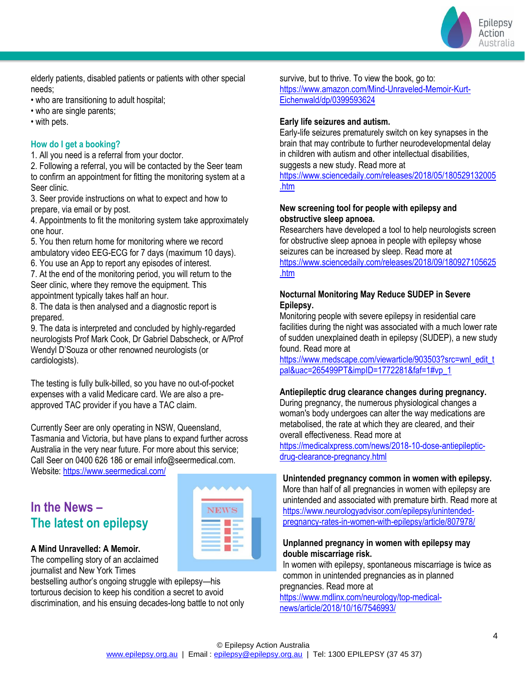

elderly patients, disabled patients or patients with other special needs;

- who are transitioning to adult hospital;
- who are single parents;

• with pets.

#### **How do I get a booking?**

1. All you need is a referral from your doctor.

2. Following a referral, you will be contacted by the Seer team to confirm an appointment for fitting the monitoring system at a Seer clinic.

3. Seer provide instructions on what to expect and how to prepare, via email or by post.

4. Appointments to fit the monitoring system take approximately one hour.

5. You then return home for monitoring where we record ambulatory video EEG-ECG for 7 days (maximum 10 days). 6. You use an App to report any episodes of interest.

7. At the end of the monitoring period, you will return to the Seer clinic, where they remove the equipment. This

appointment typically takes half an hour.

8. The data is then analysed and a diagnostic report is prepared.

9. The data is interpreted and concluded by highly-regarded neurologists Prof Mark Cook, Dr Gabriel Dabscheck, or A/Prof Wendyl D'Souza or other renowned neurologists (or cardiologists).

The testing is fully bulk-billed, so you have no out-of-pocket expenses with a valid Medicare card. We are also a preapproved TAC provider if you have a TAC claim.

Currently Seer are only operating in NSW, Queensland, Tasmania and Victoria, but have plans to expand further across Australia in the very near future. For more about this service; Call Seer on 0400 626 186 or email info@seermedical.com. Website[: https://www.seermedical.com/](https://www.seermedical.com/)

### **In the News – The latest on epilepsy**



#### **A Mind Unravelled: A Memoir.**

The compelling story of an acclaimed journalist and New York Times

bestselling author's ongoing struggle with epilepsy—his torturous decision to keep his condition a secret to avoid discrimination, and his ensuing decades-long battle to not only survive, but to thrive. To view the book, go to: [https://www.amazon.com/Mind-Unraveled-Memoir-Kurt-](https://www.amazon.com/Mind-Unraveled-Memoir-Kurt-Eichenwald/dp/0399593624)[Eichenwald/dp/0399593624](https://www.amazon.com/Mind-Unraveled-Memoir-Kurt-Eichenwald/dp/0399593624)

#### **Early life seizures and autism.**

Early-life seizures prematurely switch on key synapses in the brain that may contribute to further neurodevelopmental delay in children with autism and other intellectual disabilities, suggests a new study. Read more at [https://www.sciencedaily.com/releases/2018/05/180529132005](https://www.sciencedaily.com/releases/2018/05/180529132005.htm)

[.htm](https://www.sciencedaily.com/releases/2018/05/180529132005.htm)

#### **New screening tool for people with epilepsy and obstructive sleep apnoea.**

Researchers have developed a tool to help neurologists screen for obstructive sleep apnoea in people with epilepsy whose seizures can be increased by sleep. Read more at [https://www.sciencedaily.com/releases/2018/09/180927105625](https://www.sciencedaily.com/releases/2018/09/180927105625.htm) [.htm](https://www.sciencedaily.com/releases/2018/09/180927105625.htm)

#### **Nocturnal Monitoring May Reduce SUDEP in Severe Epilepsy.**

Monitoring people with severe epilepsy in residential care facilities during the night was associated with a much lower rate of sudden unexplained death in epilepsy (SUDEP), a new study found. Read more at

[https://www.medscape.com/viewarticle/903503?src=wnl\\_edit\\_t](https://www.medscape.com/viewarticle/903503?src=wnl_edit_tpal&uac=265499PT&impID=1772281&faf=1#vp_1) [pal&uac=265499PT&impID=1772281&faf=1#vp\\_1](https://www.medscape.com/viewarticle/903503?src=wnl_edit_tpal&uac=265499PT&impID=1772281&faf=1#vp_1)

#### **Antiepileptic drug clearance changes during pregnancy.**

During pregnancy, the numerous physiological changes a woman's body undergoes can alter the way medications are metabolised, the rate at which they are cleared, and their overall effectiveness. Read more at

[https://medicalxpress.com/news/2018-10-dose-antiepileptic](https://medicalxpress.com/news/2018-10-dose-antiepileptic-drug-clearance-pregnancy.html)[drug-clearance-pregnancy.html](https://medicalxpress.com/news/2018-10-dose-antiepileptic-drug-clearance-pregnancy.html)

#### **Unintended pregnancy common in women with epilepsy.**

More than half of all pregnancies in women with epilepsy are unintended and associated with premature birth. Read more at [https://www.neurologyadvisor.com/epilepsy/unintended](https://www.neurologyadvisor.com/epilepsy/unintended-pregnancy-rates-in-women-with-epilepsy/article/807978/)[pregnancy-rates-in-women-with-epilepsy/article/807978/](https://www.neurologyadvisor.com/epilepsy/unintended-pregnancy-rates-in-women-with-epilepsy/article/807978/)

#### **Unplanned pregnancy in women with epilepsy may double miscarriage risk.**

In women with epilepsy, spontaneous miscarriage is twice as common in unintended pregnancies as in planned pregnancies. Read more at

[https://www.mdlinx.com/neurology/top-medical](https://www.mdlinx.com/neurology/top-medical-news/article/2018/10/16/7546993/)[news/article/2018/10/16/7546993/](https://www.mdlinx.com/neurology/top-medical-news/article/2018/10/16/7546993/)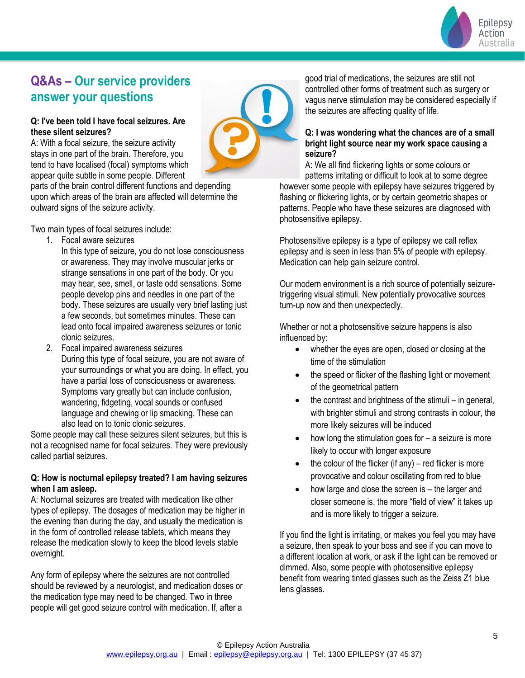

## **Q&As – Our service providers answer your questions**

#### **Q: I've been told I have focal seizures. Are these silent seizures?**

A: With a focal seizure, the seizure activity stays in one part of the brain. Therefore, you tend to have localised (focal) symptoms which appear quite subtle in some people. Different

parts of the brain control different functions and depending upon which areas of the brain are affected will determine the outward signs of the seizure activity.

Two main types of focal seizures include:

- 1. Focal aware seizures
	- In this type of seizure, you do not lose consciousness or awareness. They may involve muscular jerks or strange sensations in one part of the body. Or you may hear, see, smell, or taste odd sensations. Some people develop pins and needles in one part of the body. These seizures are usually very brief lasting just a few seconds, but sometimes minutes. These can lead onto focal impaired awareness seizures or tonic clonic seizures.
- 2. Focal impaired awareness seizures During this type of focal seizure, you are not aware of your surroundings or what you are doing. In effect, you have a partial loss of consciousness or awareness. Symptoms vary greatly but can include confusion, wandering, fidgeting, vocal sounds or confused language and chewing or lip smacking. These can also lead on to tonic clonic seizures.

Some people may call these seizures silent seizures, but this is not a recognised name for focal seizures. They were previously called partial seizures.

#### **Q: How is nocturnal epilepsy treated? I am having seizures when I am asleep.**

A: Nocturnal seizures are treated with medication like other types of epilepsy. The dosages of medication may be higher in the evening than during the day, and usually the medication is in the form of controlled release tablets, which means they release the medication slowly to keep the blood levels stable overnight.

Any form of epilepsy where the seizures are not controlled should be reviewed by a neurologist, and medication doses or the medication type may need to be changed. Two in three people will get good seizure control with medication. If, after a good trial of medications, the seizures are still not controlled other forms of treatment such as surgery or vagus nerve stimulation may be considered especially if the seizures are affecting quality of life.

#### **Q: I was wondering what the chances are of a small bright light source near my work space causing a seizure?**

A: We all find flickering lights or some colours or patterns irritating or difficult to look at to some degree

however some people with epilepsy have seizures triggered by flashing or flickering lights, or by certain geometric shapes or patterns. People who have these seizures are diagnosed with photosensitive epilepsy.

Photosensitive epilepsy is a type of epilepsy we call reflex epilepsy and is seen in less than 5% of people with epilepsy. Medication can help gain seizure control.

Our modern environment is a rich source of potentially seizuretriggering visual stimuli. New potentially provocative sources turn-up now and then unexpectedly.

Whether or not a photosensitive seizure happens is also influenced by:

- whether the eyes are open, closed or closing at the time of the stimulation
- the speed or flicker of the flashing light or movement of the geometrical pattern
- the contrast and brightness of the stimuli  $-$  in general, with brighter stimuli and strong contrasts in colour, the more likely seizures will be induced
- how long the stimulation goes for  $-$  a seizure is more likely to occur with longer exposure
- the colour of the flicker (if any) red flicker is more provocative and colour oscillating from red to blue
- how large and close the screen is  $-$  the larger and closer someone is, the more "field of view" it takes up and is more likely to trigger a seizure.

If you find the light is irritating, or makes you feel you may have a seizure, then speak to your boss and see if you can move to a different location at work, or ask if the light can be removed or dimmed. Also, some people with photosensitive epilepsy benefit from wearing tinted glasses such as the Zeiss Z1 blue lens glasses.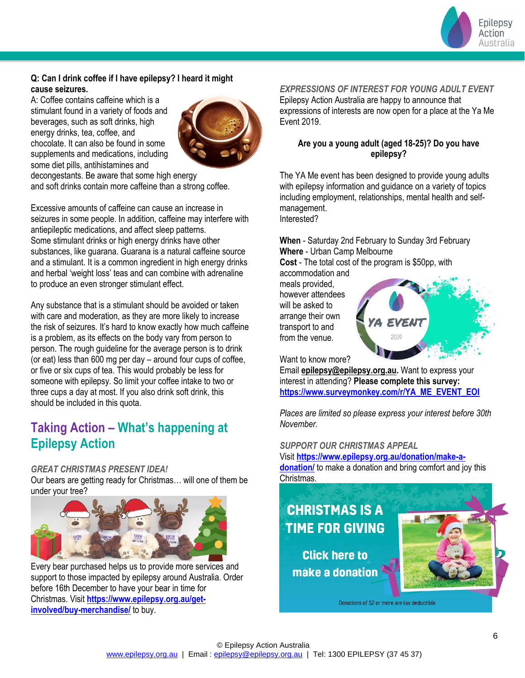

#### **Q: Can I drink coffee if I have epilepsy? I heard it might cause seizures.**

A: Coffee contains caffeine which is a stimulant found in a variety of foods and beverages, such as soft drinks, high energy drinks, tea, coffee, and chocolate. It can also be found in some supplements and medications, including some diet pills, antihistamines and



decongestants. Be aware that some high energy and soft drinks contain more caffeine than a strong coffee.

Excessive amounts of caffeine can cause an increase in seizures in some people. In addition, caffeine may interfere with antiepileptic medications, and affect sleep patterns. Some stimulant drinks or high energy drinks have other substances, like guarana. Guarana is a natural caffeine source and a stimulant. It is a common ingredient in high energy drinks and herbal 'weight loss' teas and can combine with adrenaline to produce an even stronger stimulant effect.

Any substance that is a stimulant should be avoided or taken with care and moderation, as they are more likely to increase the risk of seizures. It's hard to know exactly how much caffeine is a problem, as its effects on the body vary from person to person. The rough guideline for the average person is to drink (or eat) less than 600 mg per day – around four cups of coffee, or five or six cups of tea. This would probably be less for someone with epilepsy. So limit your coffee intake to two or three cups a day at most. If you also drink soft drink, this should be included in this quota.

## **Taking Action – What's happening at Epilepsy Action**

#### *GREAT CHRISTMAS PRESENT IDEA!*

Our bears are getting ready for Christmas… will one of them be under your tree?



Every bear purchased helps us to provide more services and support to those impacted by epilepsy around Australia. Order before 16th December to have your bear in time for Christmas. Visit **[https://www.epilepsy.org.au/get](https://www.epilepsy.org.au/get-involved/buy-merchandise/)[involved/buy-merchandise/](https://www.epilepsy.org.au/get-involved/buy-merchandise/)** to buy.

#### *EXPRESSIONS OF INTEREST FOR YOUNG ADULT EVENT*

Epilepsy Action Australia are happy to announce that expressions of interests are now open for a place at the Ya Me Event 2019.

#### **Are you a young adult (aged 18-25)? Do you have epilepsy?**

The YA Me event has been designed to provide young adults with epilepsy information and guidance on a variety of topics including employment, relationships, mental health and selfmanagement. Interested?

**When** - Saturday 2nd February to Sunday 3rd February **Where** - Urban Camp Melbourne

**Cost** - The total cost of the program is \$50pp, with accommodation and

meals provided, however attendees will be asked to arrange their own transport to and from the venue.



Want to know more?

Email **[epilepsy@epilepsy.org.au.](mailto:epilepsy@epilepsy.org.au?subject=YA%20Me%202019%20Event)** Want to express your interest in attending? **Please complete this survey: [https://www.surveymonkey.com/r/YA\\_ME\\_EVENT\\_EOI](https://www.surveymonkey.com/r/YA_ME_EVENT_EOI)**

*Places are limited so please express your interest before 30th November.*

#### *SUPPORT OUR CHRISTMAS APPEAL*

Visit **[https://www.epilepsy.org.au/donation/make-a](https://www.epilepsy.org.au/donation/make-a-donation/)[donation/](https://www.epilepsy.org.au/donation/make-a-donation/)** to make a donation and bring comfort and joy this Christmas.

# **CHRISTMAS IS A TIME FOR GIVING**

**Click here to** make a donation



Donations of \$2 or more are tax deductible